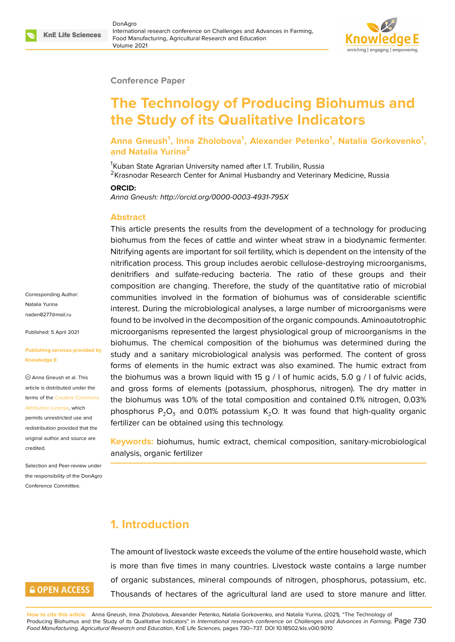### **Conference Paper**

# **The Technology of Producing Biohumus and the Study of its Qualitative Indicators**

**Anna Gneush<sup>1</sup> , Inna Zholobova<sup>1</sup> , Alexander Petenko<sup>1</sup> , Natalia Gorkovenko<sup>1</sup> , and Natalia Yurina<sup>2</sup>**

<sup>1</sup>Kuban State Agrarian University named after I.T. Trubilin, Russia <sup>2</sup>Krasnodar Research Center for Animal Husbandry and Veterinary Medicine, Russia

### **ORCID:**

*Anna Gneush: http://orcid.org/0000-0003-4931-795X*

#### **Abstract**

This article presents the results from the development of a technology for producing biohumus from the feces of cattle and winter wheat straw in a biodynamic fermenter. Nitrifying agents are important for soil fertility, which is dependent on the intensity of the nitrification process. This group includes aerobic cellulose-destroying microorganisms, denitrifiers and sulfate-reducing bacteria. The ratio of these groups and their composition are changing. Therefore, the study of the quantitative ratio of microbial communities involved in the formation of biohumus was of considerable scientific interest. During the microbiological analyses, a large number of microorganisms were found to be involved in the decomposition of the organic compounds. Aminoautotrophic microorganisms represented the largest physiological group of microorganisms in the biohumus. The chemical composition of the biohumus was determined during the study and a sanitary microbiological analysis was performed. The content of gross forms of elements in the humic extract was also examined. The humic extract from the biohumus was a brown liquid with 15 g / I of humic acids, 5.0 g / I of fulvic acids, and gross forms of elements (potassium, phosphorus, nitrogen). The dry matter in the biohumus was 1.0% of the total composition and contained 0.1% nitrogen, 0.03% phosphorus  $P_2O_5$  and 0.01% potassium K<sub>2</sub>O. It was found that high-quality organic fertilizer can be obtained using this technology.

**Keywords:** biohumus, humic extract, chemical composition, sanitary-microbiological analysis, organic fertilizer

## **1. Introduction**

The amount of livestock waste exceeds the volume of the entire household waste, which is more than five times in many countries. Livestock waste contains a large number of organic substances, mineral compounds of nitrogen, phosphorus, potassium, etc. Thousands of hectares of the agricultural land are used to store manure and litter.

**How to cite this article**: Anna Gneush, Inna Zholobova, Alexander Petenko, Natalia Gorkovenko, and Natalia Yurina, (2021), "The Technology of Producing Biohumus and the Study of its Qualitative Indicators" in *International research conference on Challenges and Advances in Farming,* Page 730 *Food Manufacturing, Agricultural Research and Education*, KnE Life Sciences, pages 730–737. DOI 10.18502/kls.v0i0.9010

Corresponding Author: Natalia Yurina naden8277@mail.ru

Published: 5 April 2021

#### **[Publishing services](mailto:naden8277@mail.ru) provided by Knowledge E**

Anna Gneush et al. This article is distributed under the terms of the Creative Commons Attribution License, which

permits unrestricted use and redistribution provided that the original auth[or and source are](https://creativecommons.org/licenses/by/4.0/) [credited.](https://creativecommons.org/licenses/by/4.0/)

Selection and Peer-review under the responsibility of the DonAgro Conference Committee.

# **GOPEN ACCESS**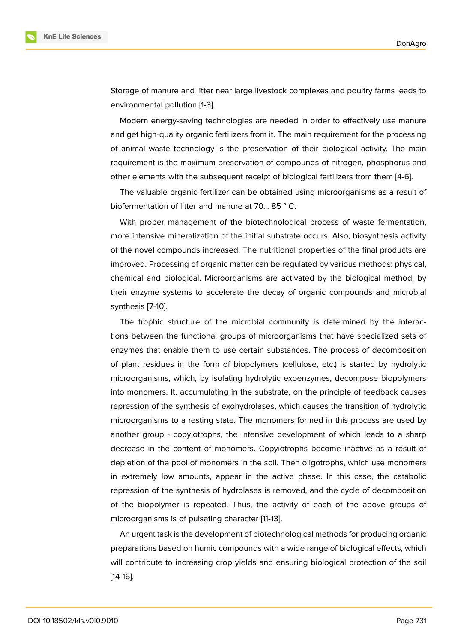

Storage of manure and litter near large livestock complexes and poultry farms leads to environmental pollution [1-3].

Modern energy-saving technologies are needed in order to effectively use manure and get high-quality organic fertilizers from it. The main requirement for the processing of animal waste technology is the preservation of their biological activity. The main requirement is the maximum preservation of compounds of nitrogen, phosphorus and other elements with the subsequent receipt of biological fertilizers from them [4-6].

The valuable organic fertilizer can be obtained using microorganisms as a result of biofermentation of litter and manure at 70... 85 ° C.

With proper management of the biotechnological process of waste fermentation, more intensive mineralization of the initial substrate occurs. Also, biosynthesis activity of the novel compounds increased. The nutritional properties of the final products are improved. Processing of organic matter can be regulated by various methods: physical, chemical and biological. Microorganisms are activated by the biological method, by their enzyme systems to accelerate the decay of organic compounds and microbial synthesis [7-10].

The trophic structure of the microbial community is determined by the interactions between the functional groups of microorganisms that have specialized sets of enzymes that enable them to use certain substances. The process of decomposition of plant residues in the form of biopolymers (cellulose, etc.) is started by hydrolytic microorganisms, which, by isolating hydrolytic exoenzymes, decompose biopolymers into monomers. It, accumulating in the substrate, on the principle of feedback causes repression of the synthesis of exohydrolases, which causes the transition of hydrolytic microorganisms to a resting state. The monomers formed in this process are used by another group - copyiotrophs, the intensive development of which leads to a sharp decrease in the content of monomers. Copyiotrophs become inactive as a result of depletion of the pool of monomers in the soil. Then oligotrophs, which use monomers in extremely low amounts, appear in the active phase. In this case, the catabolic repression of the synthesis of hydrolases is removed, and the cycle of decomposition of the biopolymer is repeated. Thus, the activity of each of the above groups of microorganisms is of pulsating character [11-13].

An urgent task is the development of biotechnological methods for producing organic preparations based on humic compounds with a wide range of biological effects, which will contribute to increasing crop yields and ensuring biological protection of the soil [14-16].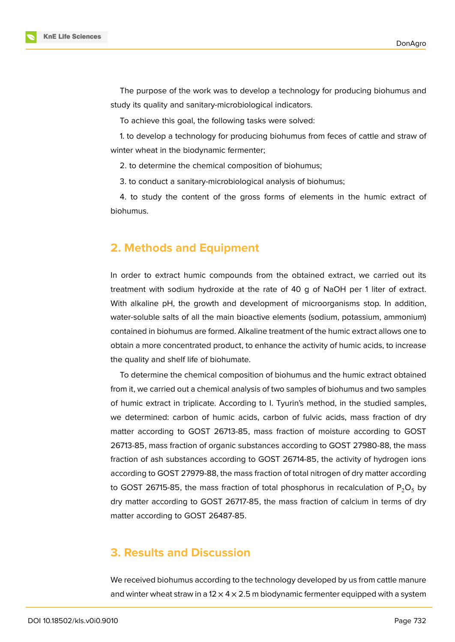

The purpose of the work was to develop a technology for producing biohumus and study its quality and sanitary-microbiological indicators.

To achieve this goal, the following tasks were solved:

1. to develop a technology for producing biohumus from feces of cattle and straw of winter wheat in the biodynamic fermenter;

2. to determine the chemical composition of biohumus;

3. to conduct a sanitary-microbiological analysis of biohumus;

4. to study the content of the gross forms of elements in the humic extract of biohumus.

### **2. Methods and Equipment**

In order to extract humic compounds from the obtained extract, we carried out its treatment with sodium hydroxide at the rate of 40 g of NaOH per 1 liter of extract. With alkaline pH, the growth and development of microorganisms stop. In addition, water-soluble salts of all the main bioactive elements (sodium, potassium, ammonium) contained in biohumus are formed. Alkaline treatment of the humic extract allows one to obtain a more concentrated product, to enhance the activity of humic acids, to increase the quality and shelf life of biohumate.

To determine the chemical composition of biohumus and the humic extract obtained from it, we carried out a chemical analysis of two samples of biohumus and two samples of humic extract in triplicate. According to I. Tyurin's method, in the studied samples, we determined: carbon of humic acids, carbon of fulvic acids, mass fraction of dry matter according to GOST 26713-85, mass fraction of moisture according to GOST 26713-85, mass fraction of organic substances according to GOST 27980-88, the mass fraction of ash substances according to GOST 26714-85, the activity of hydrogen ions according to GOST 27979-88, the mass fraction of total nitrogen of dry matter according to GOST 26715-85, the mass fraction of total phosphorus in recalculation of  $P_2O_5$  by dry matter according to GOST 26717-85, the mass fraction of calcium in terms of dry matter according to GOST 26487-85.

## **3. Results and Discussion**

We received biohumus according to the technology developed by us from cattle manure and winter wheat straw in a 12  $\times$  4  $\times$  2.5 m biodynamic fermenter equipped with a system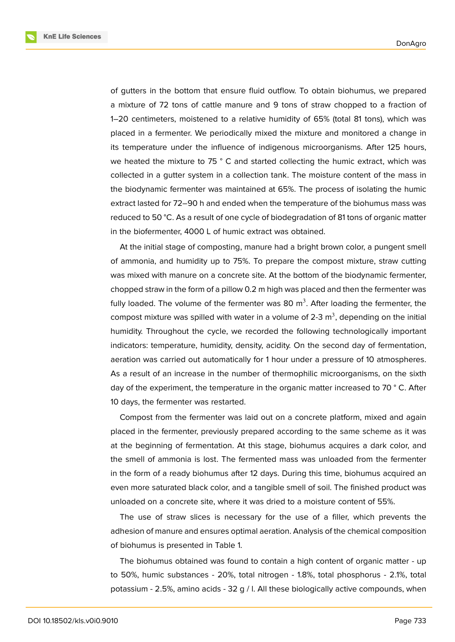**KnE Life Sciences** 



of gutters in the bottom that ensure fluid outflow. To obtain biohumus, we prepared a mixture of 72 tons of cattle manure and 9 tons of straw chopped to a fraction of 1–20 centimeters, moistened to a relative humidity of 65% (total 81 tons), which was placed in a fermenter. We periodically mixed the mixture and monitored a change in its temperature under the influence of indigenous microorganisms. After 125 hours, we heated the mixture to 75 ° C and started collecting the humic extract, which was collected in a gutter system in a collection tank. The moisture content of the mass in the biodynamic fermenter was maintained at 65%. The process of isolating the humic extract lasted for 72–90 h and ended when the temperature of the biohumus mass was reduced to 50 °C. As a result of one cycle of biodegradation of 81 tons of organic matter in the biofermenter, 4000 L of humic extract was obtained.

At the initial stage of composting, manure had a bright brown color, a pungent smell of ammonia, and humidity up to 75%. To prepare the compost mixture, straw cutting was mixed with manure on a concrete site. At the bottom of the biodynamic fermenter, chopped straw in the form of a pillow 0.2 m high was placed and then the fermenter was fully loaded. The volume of the fermenter was 80 m<sup>3</sup>. After loading the fermenter, the compost mixture was spilled with water in a volume of 2-3 m<sup>3</sup>, depending on the initial humidity. Throughout the cycle, we recorded the following technologically important indicators: temperature, humidity, density, acidity. On the second day of fermentation, aeration was carried out automatically for 1 hour under a pressure of 10 atmospheres. As a result of an increase in the number of thermophilic microorganisms, on the sixth day of the experiment, the temperature in the organic matter increased to 70 °C. After 10 days, the fermenter was restarted.

Compost from the fermenter was laid out on a concrete platform, mixed and again placed in the fermenter, previously prepared according to the same scheme as it was at the beginning of fermentation. At this stage, biohumus acquires a dark color, and the smell of ammonia is lost. The fermented mass was unloaded from the fermenter in the form of a ready biohumus after 12 days. During this time, biohumus acquired an even more saturated black color, and a tangible smell of soil. The finished product was unloaded on a concrete site, where it was dried to a moisture content of 55%.

The use of straw slices is necessary for the use of a filler, which prevents the adhesion of manure and ensures optimal aeration. Analysis of the chemical composition of biohumus is presented in Table 1.

The biohumus obtained was found to contain a high content of organic matter - up to 50%, humic substances - 20%, total nitrogen - 1.8%, total phosphorus - 2.1%, total potassium - 2.5%, amino acids - 32 g / l. All these biologically active compounds, when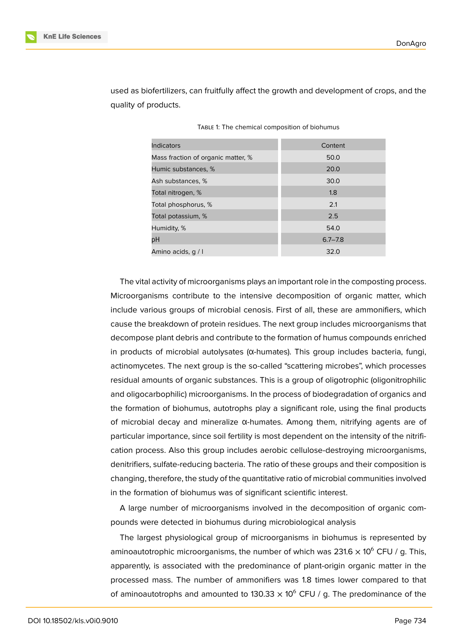

used as biofertilizers, can fruitfully affect the growth and development of crops, and the quality of products.

| <b>Indicators</b>                  | Content     |
|------------------------------------|-------------|
| Mass fraction of organic matter, % | 50.0        |
| Humic substances, %                | 20.0        |
| Ash substances, %                  | 30.0        |
| Total nitrogen, %                  | 1.8         |
| Total phosphorus, %                | 2.1         |
| Total potassium, %                 | 2.5         |
| Humidity, %                        | 54.0        |
| рH                                 | $6.7 - 7.8$ |
| Amino acids, q / I                 | 32.0        |

| TABLE 1: The chemical composition of biohumus |  |  |
|-----------------------------------------------|--|--|
|-----------------------------------------------|--|--|

The vital activity of microorganisms plays an important role in the composting process. Microorganisms contribute to the intensive decomposition of organic matter, which include various groups of microbial cenosis. First of all, these are ammonifiers, which cause the breakdown of protein residues. The next group includes microorganisms that decompose plant debris and contribute to the formation of humus compounds enriched in products of microbial autolysates (α-humates). This group includes bacteria, fungi, actinomycetes. The next group is the so-called "scattering microbes", which processes residual amounts of organic substances. This is a group of oligotrophic (oligonitrophilic and oligocarbophilic) microorganisms. In the process of biodegradation of organics and the formation of biohumus, autotrophs play a significant role, using the final products of microbial decay and mineralize α-humates. Among them, nitrifying agents are of particular importance, since soil fertility is most dependent on the intensity of the nitrification process. Also this group includes aerobic cellulose-destroying microorganisms, denitrifiers, sulfate-reducing bacteria. The ratio of these groups and their composition is changing, therefore, the study of the quantitative ratio of microbial communities involved in the formation of biohumus was of significant scientific interest.

A large number of microorganisms involved in the decomposition of organic compounds were detected in biohumus during microbiological analysis

The largest physiological group of microorganisms in biohumus is represented by aminoautotrophic microorganisms, the number of which was 231.6  $\times$  10<sup>6</sup> CFU / g. This, apparently, is associated with the predominance of plant-origin organic matter in the processed mass. The number of ammonifiers was 1.8 times lower compared to that of aminoautotrophs and amounted to 130.33  $\times$  10<sup>6</sup> CFU / g. The predominance of the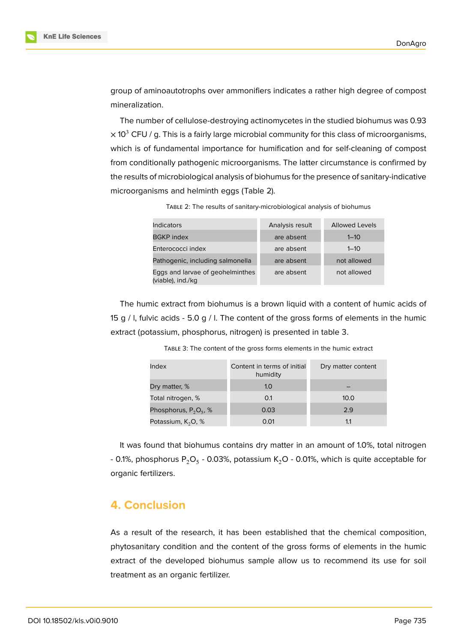

group of aminoautotrophs over ammonifiers indicates a rather high degree of compost mineralization.

The number of cellulose-destroying actinomycetes in the studied biohumus was 0.93  $\times$  10<sup>3</sup> CFU / g. This is a fairly large microbial community for this class of microorganisms, which is of fundamental importance for humification and for self-cleaning of compost from conditionally pathogenic microorganisms. The latter circumstance is confirmed by the results of microbiological analysis of biohumus for the presence of sanitary-indicative microorganisms and helminth eggs (Table 2).

TABLE 2: The results of sanitary-microbiological analysis of biohumus

| Indicators                                            | Analysis result | <b>Allowed Levels</b> |
|-------------------------------------------------------|-----------------|-----------------------|
| <b>BGKP</b> index                                     | are absent      | $1 - 10$              |
| Enterococci index                                     | are absent      | $1 - 10$              |
| Pathogenic, including salmonella                      | are absent      | not allowed           |
| Eggs and larvae of geohelminthes<br>(viable), ind./kg | are absent      | not allowed           |

The humic extract from biohumus is a brown liquid with a content of humic acids of 15 g / l, fulvic acids - 5.0 g / l. The content of the gross forms of elements in the humic extract (potassium, phosphorus, nitrogen) is presented in table 3.

| Index                    | Content in terms of initial<br>humidity | Dry matter content |
|--------------------------|-----------------------------------------|--------------------|
| Dry matter, %            | 1.0                                     |                    |
| Total nitrogen, %        | 0.1                                     | 10.0               |
| Phosphorus, $P_2O_5$ , % | 0.03                                    | 2.9                |
| Potassium, $K_2O$ , %    | 0.01                                    | 1.1                |

TABLE 3: The content of the gross forms elements in the humic extract

It was found that biohumus contains dry matter in an amount of 1.0%, total nitrogen - 0.1%, phosphorus P $_{\rm 2}$ O $_{\rm 5}$  - 0.03%, potassium K $_{\rm 2}$ O - 0.01%, which is quite acceptable for organic fertilizers.

# **4. Conclusion**

As a result of the research, it has been established that the chemical composition, phytosanitary condition and the content of the gross forms of elements in the humic extract of the developed biohumus sample allow us to recommend its use for soil treatment as an organic fertilizer.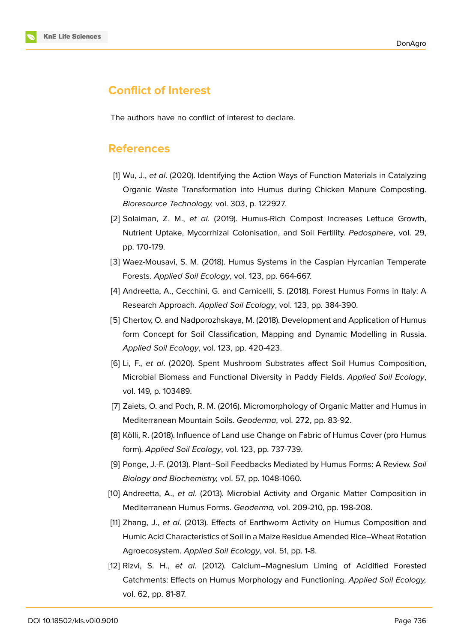

# **Conflict of Interest**

The authors have no conflict of interest to declare.

### **References**

- [1] Wu, J., *et al*. (2020). Identifying the Action Ways of Function Materials in Catalyzing Organic Waste Transformation into Humus during Chicken Manure Composting. *Bioresource Technology,* vol. 303, p. 122927.
- [2] Solaiman, Z. M., *et al*. (2019). Humus-Rich Compost Increases Lettuce Growth, Nutrient Uptake, Mycorrhizal Colonisation, and Soil Fertility. *Pedosphere*, vol. 29, pp. 170-179.
- [3] Waez-Mousavi, S. M. (2018). Humus Systems in the Caspian Hyrcanian Temperate Forests. *Applied Soil Ecology*, vol. 123, pp. 664-667.
- [4] Andreetta, A., Cecchini, G. and Carnicelli, S. (2018). Forest Humus Forms in Italy: A Research Approach. *Applied Soil Ecology*, vol. 123, pp. 384-390.
- [5] Chertov, O. and Nadporozhskaya, M. (2018). Development and Application of Humus form Concept for Soil Classification, Mapping and Dynamic Modelling in Russia. *Applied Soil Ecology*, vol. 123, pp. 420-423.
- [6] Li, F., *et al*. (2020). Spent Mushroom Substrates affect Soil Humus Composition, Microbial Biomass and Functional Diversity in Paddy Fields. *Applied Soil Ecology*, vol. 149, p. 103489.
- [7] Zaiets, O. and Poch, R. M. (2016). Micromorphology of Organic Matter and Humus in Mediterranean Mountain Soils. *Geoderma*, vol. 272, pp. 83-92.
- [8] Kõlli, R. (2018). Influence of Land use Change on Fabric of Humus Cover (pro Humus form). *Applied Soil Ecology*, vol. 123, pp. 737-739.
- [9] Ponge, J.-F. (2013). Plant–Soil Feedbacks Mediated by Humus Forms: A Review. *Soil Biology and Biochemistry,* vol. 57, pp. 1048-1060.
- [10] Andreetta, A., *et al*. (2013). Microbial Activity and Organic Matter Composition in Mediterranean Humus Forms. *Geoderma,* vol. 209-210, pp. 198-208.
- [11] Zhang, J., *et al*. (2013). Effects of Earthworm Activity on Humus Composition and Humic Acid Characteristics of Soil in a Maize Residue Amended Rice–Wheat Rotation Agroecosystem. *Applied Soil Ecology*, vol. 51, pp. 1-8.
- [12] Rizvi, S. H., *et al*. (2012). Calcium–Magnesium Liming of Acidified Forested Catchments: Effects on Humus Morphology and Functioning. *Applied Soil Ecology,* vol. 62, pp. 81-87.